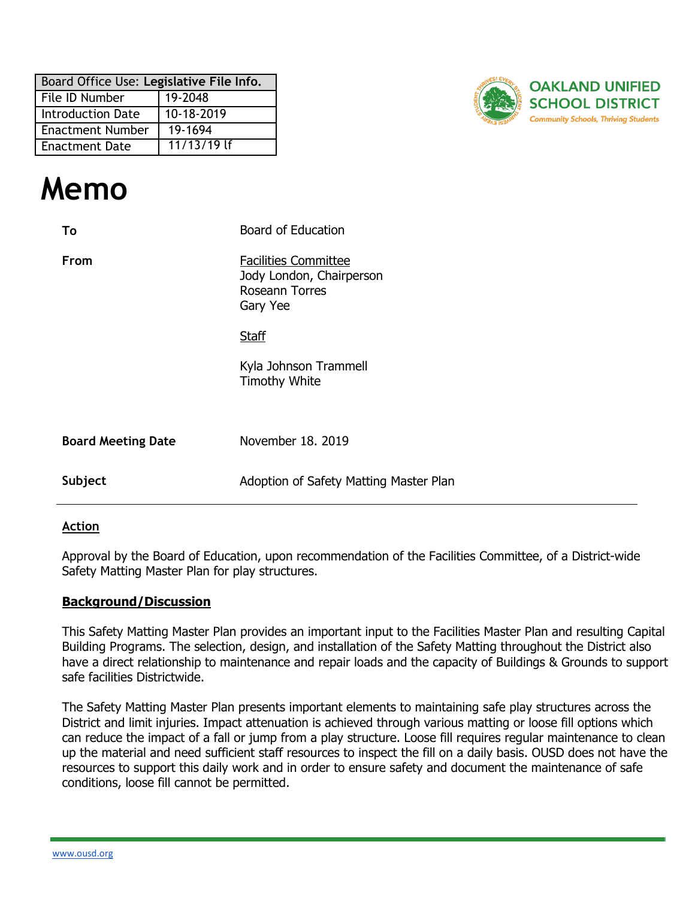| Board Office Use: Legislative File Info. |               |  |  |  |  |
|------------------------------------------|---------------|--|--|--|--|
| File ID Number                           | 19-2048       |  |  |  |  |
| <b>Introduction Date</b>                 | 10-18-2019    |  |  |  |  |
| <b>Enactment Number</b>                  | 19-1694       |  |  |  |  |
| <b>Enactment Date</b>                    | $11/13/19$ If |  |  |  |  |



# **Memo**

| To                        | <b>Board of Education</b>                                                                    |
|---------------------------|----------------------------------------------------------------------------------------------|
| From                      | <b>Facilities Committee</b><br>Jody London, Chairperson<br><b>Roseann Torres</b><br>Gary Yee |
|                           | <b>Staff</b>                                                                                 |
|                           | Kyla Johnson Trammell<br><b>Timothy White</b>                                                |
| <b>Board Meeting Date</b> | November 18, 2019                                                                            |
| Subject                   | Adoption of Safety Matting Master Plan                                                       |

#### **Action**

Approval by the Board of Education, upon recommendation of the Facilities Committee, of a District-wide Safety Matting Master Plan for play structures.

#### **Background/Discussion**

This Safety Matting Master Plan provides an important input to the Facilities Master Plan and resulting Capital Building Programs. The selection, design, and installation of the Safety Matting throughout the District also have a direct relationship to maintenance and repair loads and the capacity of Buildings & Grounds to support safe facilities Districtwide.

The Safety Matting Master Plan presents important elements to maintaining safe play structures across the District and limit injuries. Impact attenuation is achieved through various matting or loose fill options which can reduce the impact of a fall or jump from a play structure. Loose fill requires regular maintenance to clean up the material and need sufficient staff resources to inspect the fill on a daily basis. OUSD does not have the resources to support this daily work and in order to ensure safety and document the maintenance of safe conditions, loose fill cannot be permitted.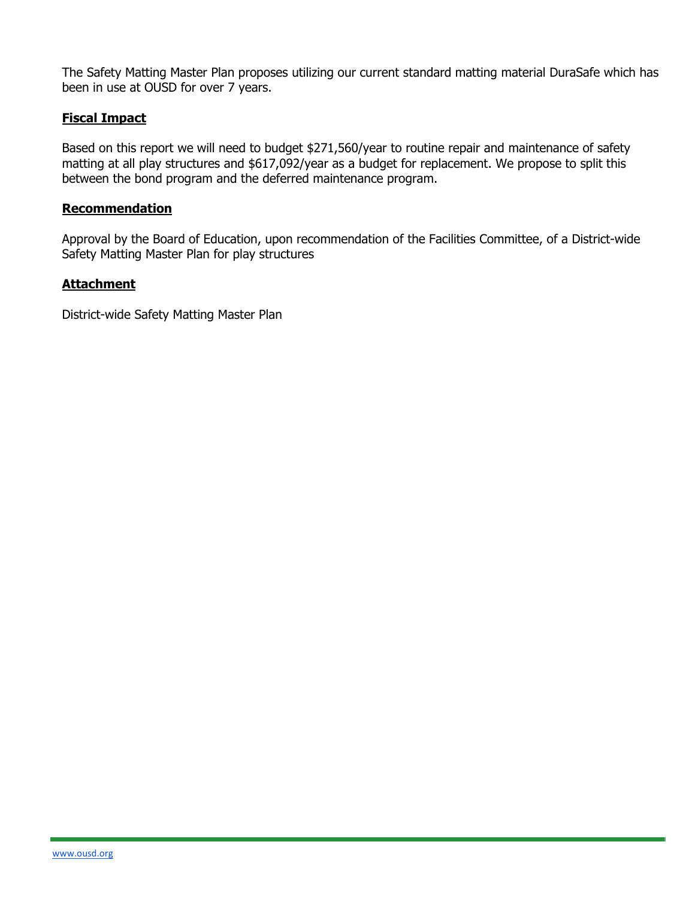The Safety Matting Master Plan proposes utilizing our current standard matting material DuraSafe which has been in use at OUSD for over 7 years.

### **Fiscal Impact**

Based on this report we will need to budget \$271,560/year to routine repair and maintenance of safety matting at all play structures and \$617,092/year as a budget for replacement. We propose to split this between the bond program and the deferred maintenance program.

#### **Recommendation**

Approval by the Board of Education, upon recommendation of the Facilities Committee, of a District-wide Safety Matting Master Plan for play structures

#### **Attachment**

District-wide Safety Matting Master Plan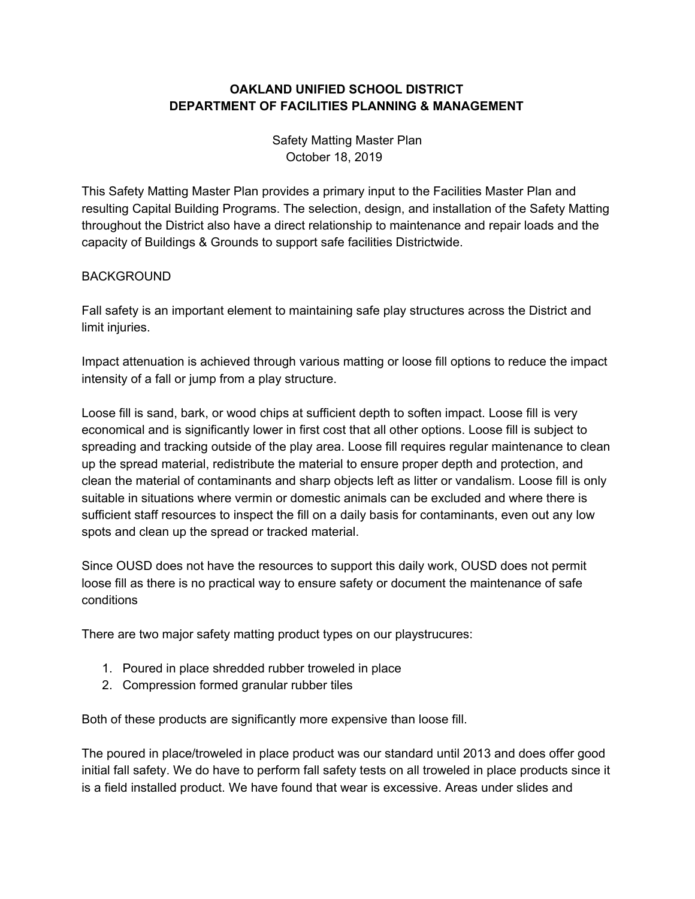# **OAKLAND UNIFIED SCHOOL DISTRICT DEPARTMENT OF FACILITIES PLANNING & MANAGEMENT**

Safety Matting Master Plan October 18, 2019

This Safety Matting Master Plan provides a primary input to the Facilities Master Plan and resulting Capital Building Programs. The selection, design, and installation of the Safety Matting throughout the District also have a direct relationship to maintenance and repair loads and the capacity of Buildings & Grounds to support safe facilities Districtwide.

### BACKGROUND

Fall safety is an important element to maintaining safe play structures across the District and limit injuries.

Impact attenuation is achieved through various matting or loose fill options to reduce the impact intensity of a fall or jump from a play structure.

Loose fill is sand, bark, or wood chips at sufficient depth to soften impact. Loose fill is very economical and is significantly lower in first cost that all other options. Loose fill is subject to spreading and tracking outside of the play area. Loose fill requires regular maintenance to clean up the spread material, redistribute the material to ensure proper depth and protection, and clean the material of contaminants and sharp objects left as litter or vandalism. Loose fill is only suitable in situations where vermin or domestic animals can be excluded and where there is sufficient staff resources to inspect the fill on a daily basis for contaminants, even out any low spots and clean up the spread or tracked material.

Since OUSD does not have the resources to support this daily work, OUSD does not permit loose fill as there is no practical way to ensure safety or document the maintenance of safe conditions

There are two major safety matting product types on our playstrucures:

- 1. Poured in place shredded rubber troweled in place
- 2. Compression formed granular rubber tiles

Both of these products are significantly more expensive than loose fill.

The poured in place/troweled in place product was our standard until 2013 and does offer good initial fall safety. We do have to perform fall safety tests on all troweled in place products since it is a field installed product. We have found that wear is excessive. Areas under slides and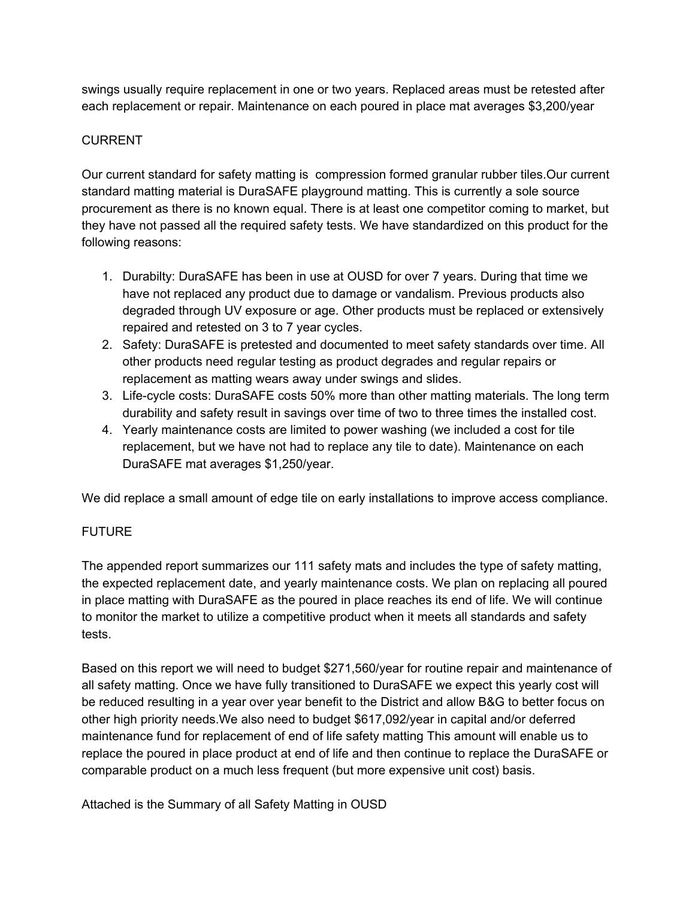swings usually require replacement in one or two years. Replaced areas must be retested after each replacement or repair. Maintenance on each poured in place mat averages \$3,200/year

# **CURRENT**

Our current standard for safety matting is compression formed granular rubber tiles.Our current standard matting material is DuraSAFE playground matting. This is currently a sole source procurement as there is no known equal. There is at least one competitor coming to market, but they have not passed all the required safety tests. We have standardized on this product for the following reasons:

- 1. Durabilty: DuraSAFE has been in use at OUSD for over 7 years. During that time we have not replaced any product due to damage or vandalism. Previous products also degraded through UV exposure or age. Other products must be replaced or extensively repaired and retested on 3 to 7 year cycles.
- 2. Safety: DuraSAFE is pretested and documented to meet safety standards over time. All other products need regular testing as product degrades and regular repairs or replacement as matting wears away under swings and slides.
- 3. Life-cycle costs: DuraSAFE costs 50% more than other matting materials. The long term durability and safety result in savings over time of two to three times the installed cost.
- 4. Yearly maintenance costs are limited to power washing (we included a cost for tile replacement, but we have not had to replace any tile to date). Maintenance on each DuraSAFE mat averages \$1,250/year.

We did replace a small amount of edge tile on early installations to improve access compliance.

## FUTURE

The appended report summarizes our 111 safety mats and includes the type of safety matting, the expected replacement date, and yearly maintenance costs. We plan on replacing all poured in place matting with DuraSAFE as the poured in place reaches its end of life. We will continue to monitor the market to utilize a competitive product when it meets all standards and safety tests.

Based on this report we will need to budget \$271,560/year for routine repair and maintenance of all safety matting. Once we have fully transitioned to DuraSAFE we expect this yearly cost will be reduced resulting in a year over year benefit to the District and allow B&G to better focus on other high priority needs.We also need to budget \$617,092/year in capital and/or deferred maintenance fund for replacement of end of life safety matting This amount will enable us to replace the poured in place product at end of life and then continue to replace the DuraSAFE or comparable product on a much less frequent (but more expensive unit cost) basis.

Attached is the Summary of all Safety Matting in OUSD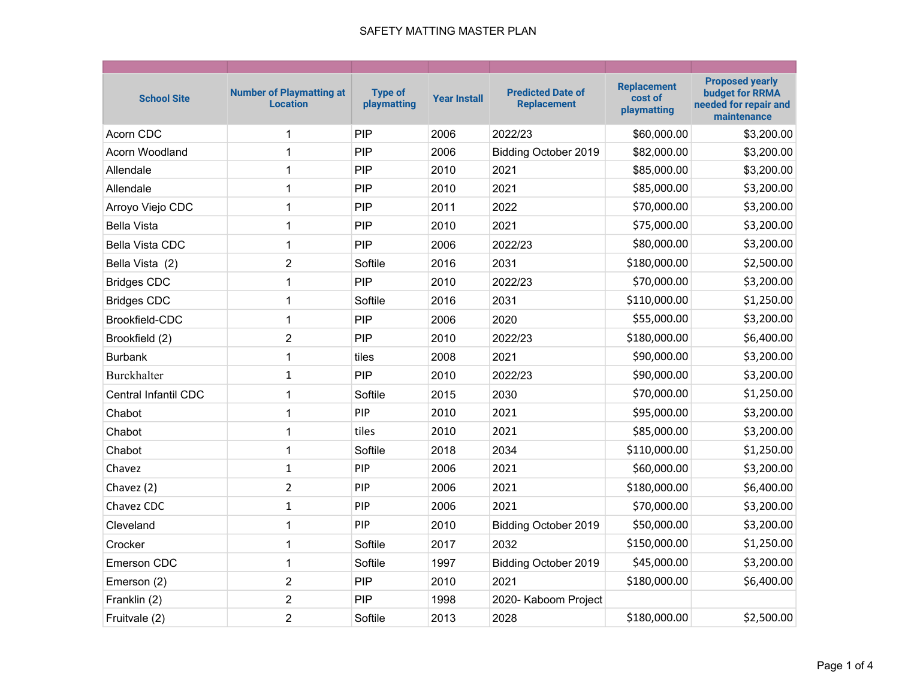| <b>School Site</b>     | <b>Number of Playmatting at</b><br><b>Location</b> | <b>Type of</b><br>playmatting | <b>Year Install</b> | <b>Predicted Date of</b><br><b>Replacement</b> | <b>Replacement</b><br>cost of<br>playmatting | <b>Proposed yearly</b><br><b>budget for RRMA</b><br>needed for repair and<br>maintenance |
|------------------------|----------------------------------------------------|-------------------------------|---------------------|------------------------------------------------|----------------------------------------------|------------------------------------------------------------------------------------------|
| Acorn CDC              | 1                                                  | PIP                           | 2006                | 2022/23                                        | \$60,000.00                                  | \$3,200.00                                                                               |
| Acorn Woodland         | 1                                                  | <b>PIP</b>                    | 2006                | Bidding October 2019                           | \$82,000.00                                  | \$3,200.00                                                                               |
| Allendale              | 1                                                  | PIP                           | 2010                | 2021                                           | \$85,000.00                                  | \$3,200.00                                                                               |
| Allendale              | $\mathbf{1}$                                       | <b>PIP</b>                    | 2010                | 2021                                           | \$85,000.00                                  | \$3,200.00                                                                               |
| Arroyo Viejo CDC       | 1                                                  | PIP                           | 2011                | 2022                                           | \$70,000.00                                  | \$3,200.00                                                                               |
| <b>Bella Vista</b>     | 1                                                  | <b>PIP</b>                    | 2010                | 2021                                           | \$75,000.00                                  | \$3,200.00                                                                               |
| <b>Bella Vista CDC</b> | 1                                                  | <b>PIP</b>                    | 2006                | 2022/23                                        | \$80,000.00                                  | \$3,200.00                                                                               |
| Bella Vista (2)        | $\overline{2}$                                     | Softile                       | 2016                | 2031                                           | \$180,000.00                                 | \$2,500.00                                                                               |
| <b>Bridges CDC</b>     | 1                                                  | PIP                           | 2010                | 2022/23                                        | \$70,000.00                                  | \$3,200.00                                                                               |
| <b>Bridges CDC</b>     | 1                                                  | Softile                       | 2016                | 2031                                           | \$110,000.00                                 | \$1,250.00                                                                               |
| Brookfield-CDC         | 1                                                  | PIP                           | 2006                | 2020                                           | \$55,000.00                                  | \$3,200.00                                                                               |
| Brookfield (2)         | $\overline{2}$                                     | <b>PIP</b>                    | 2010                | 2022/23                                        | \$180,000.00                                 | \$6,400.00                                                                               |
| <b>Burbank</b>         | 1                                                  | tiles                         | 2008                | 2021                                           | \$90,000.00                                  | \$3,200.00                                                                               |
| Burckhalter            | $\mathbf{1}$                                       | <b>PIP</b>                    | 2010                | 2022/23                                        | \$90,000.00                                  | \$3,200.00                                                                               |
| Central Infantil CDC   | 1                                                  | Softile                       | 2015                | 2030                                           | \$70,000.00                                  | \$1,250.00                                                                               |
| Chabot                 | 1                                                  | PIP                           | 2010                | 2021                                           | \$95,000.00                                  | \$3,200.00                                                                               |
| Chabot                 | 1                                                  | tiles                         | 2010                | 2021                                           | \$85,000.00                                  | \$3,200.00                                                                               |
| Chabot                 | 1                                                  | Softile                       | 2018                | 2034                                           | \$110,000.00                                 | \$1,250.00                                                                               |
| Chavez                 | $\mathbf{1}$                                       | PIP                           | 2006                | 2021                                           | \$60,000.00                                  | \$3,200.00                                                                               |
| Chavez (2)             | $\overline{2}$                                     | PIP                           | 2006                | 2021                                           | \$180,000.00                                 | \$6,400.00                                                                               |
| Chavez CDC             | $\mathbf{1}$                                       | PIP                           | 2006                | 2021                                           | \$70,000.00                                  | \$3,200.00                                                                               |
| Cleveland              | 1                                                  | PIP                           | 2010                | Bidding October 2019                           | \$50,000.00                                  | \$3,200.00                                                                               |
| Crocker                | 1                                                  | Softile                       | 2017                | 2032                                           | \$150,000.00                                 | \$1,250.00                                                                               |
| Emerson CDC            | 1                                                  | Softile                       | 1997                | Bidding October 2019                           | \$45,000.00                                  | \$3,200.00                                                                               |
| Emerson (2)            | $\overline{2}$                                     | <b>PIP</b>                    | 2010                | 2021                                           | \$180,000.00                                 | \$6,400.00                                                                               |
| Franklin (2)           | $\overline{2}$                                     | PIP                           | 1998                | 2020- Kaboom Project                           |                                              |                                                                                          |
| Fruitvale (2)          | $\overline{2}$                                     | Softile                       | 2013                | 2028                                           | \$180,000.00                                 | \$2,500.00                                                                               |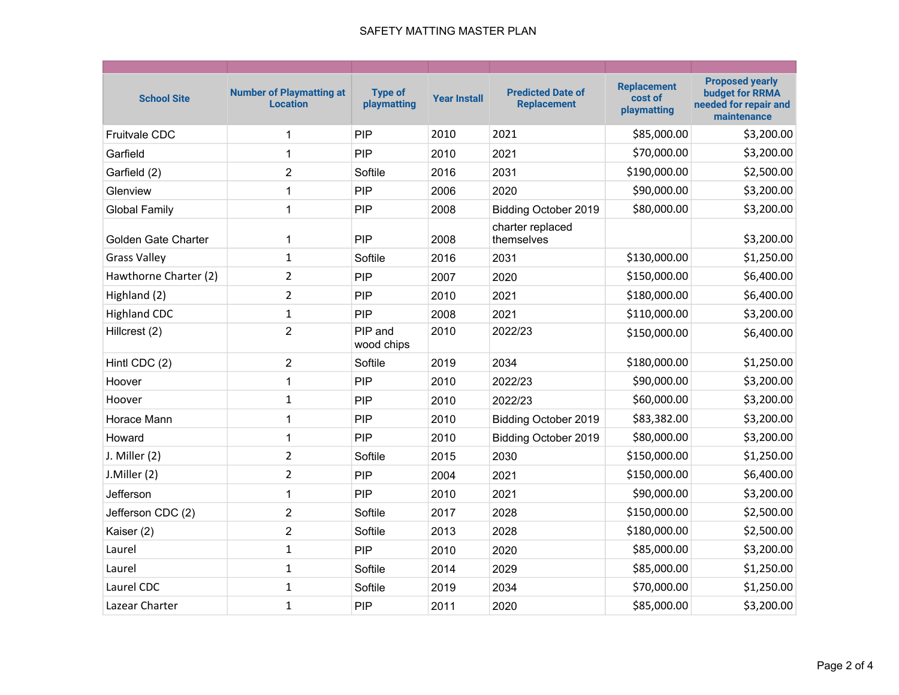| <b>School Site</b>    | <b>Number of Playmatting at</b><br><b>Location</b> | <b>Type of</b><br>playmatting | <b>Year Install</b> | <b>Predicted Date of</b><br><b>Replacement</b> | <b>Replacement</b><br>cost of<br>playmatting | <b>Proposed yearly</b><br><b>budget for RRMA</b><br>needed for repair and<br>maintenance |
|-----------------------|----------------------------------------------------|-------------------------------|---------------------|------------------------------------------------|----------------------------------------------|------------------------------------------------------------------------------------------|
| Fruitvale CDC         | 1                                                  | <b>PIP</b>                    | 2010                | 2021                                           | \$85,000.00                                  | \$3,200.00                                                                               |
| Garfield              | 1                                                  | <b>PIP</b>                    | 2010                | 2021                                           | \$70,000.00                                  | \$3,200.00                                                                               |
| Garfield (2)          | $\overline{2}$                                     | Softile                       | 2016                | 2031                                           | \$190,000.00                                 | \$2,500.00                                                                               |
| Glenview              | 1                                                  | <b>PIP</b>                    | 2006                | 2020                                           | \$90,000.00                                  | \$3,200.00                                                                               |
| <b>Global Family</b>  | $\mathbf{1}$                                       | <b>PIP</b>                    | 2008                | Bidding October 2019                           | \$80,000.00                                  | \$3,200.00                                                                               |
| Golden Gate Charter   | 1                                                  | <b>PIP</b>                    | 2008                | charter replaced<br>themselves                 |                                              | \$3,200.00                                                                               |
| <b>Grass Valley</b>   | $\mathbf{1}$                                       | Softile                       | 2016                | 2031                                           | \$130,000.00                                 | \$1,250.00                                                                               |
| Hawthorne Charter (2) | $\overline{2}$                                     | PIP                           | 2007                | 2020                                           | \$150,000.00                                 | \$6,400.00                                                                               |
| Highland (2)          | $\overline{2}$                                     | PIP                           | 2010                | 2021                                           | \$180,000.00                                 | \$6,400.00                                                                               |
| <b>Highland CDC</b>   | $\mathbf 1$                                        | <b>PIP</b>                    | 2008                | 2021                                           | \$110,000.00                                 | \$3,200.00                                                                               |
| Hillcrest (2)         | $\overline{2}$                                     | PIP and<br>wood chips         | 2010                | 2022/23                                        | \$150,000.00                                 | \$6,400.00                                                                               |
| Hintl CDC (2)         | $\overline{2}$                                     | Softile                       | 2019                | 2034                                           | \$180,000.00                                 | \$1,250.00                                                                               |
| Hoover                | 1                                                  | PIP                           | 2010                | 2022/23                                        | \$90,000.00                                  | \$3,200.00                                                                               |
| Hoover                | $\mathbf{1}$                                       | <b>PIP</b>                    | 2010                | 2022/23                                        | \$60,000.00                                  | \$3,200.00                                                                               |
| Horace Mann           | 1                                                  | <b>PIP</b>                    | 2010                | Bidding October 2019                           | \$83,382.00                                  | \$3,200.00                                                                               |
| Howard                | 1                                                  | <b>PIP</b>                    | 2010                | Bidding October 2019                           | \$80,000.00                                  | \$3,200.00                                                                               |
| J. Miller (2)         | $\overline{2}$                                     | Softile                       | 2015                | 2030                                           | \$150,000.00                                 | \$1,250.00                                                                               |
| J.Miller (2)          | $\overline{2}$                                     | <b>PIP</b>                    | 2004                | 2021                                           | \$150,000.00                                 | \$6,400.00                                                                               |
| Jefferson             | 1                                                  | PIP                           | 2010                | 2021                                           | \$90,000.00                                  | \$3,200.00                                                                               |
| Jefferson CDC (2)     | 2                                                  | Softile                       | 2017                | 2028                                           | \$150,000.00                                 | \$2,500.00                                                                               |
| Kaiser (2)            | $\overline{c}$                                     | Softile                       | 2013                | 2028                                           | \$180,000.00                                 | \$2,500.00                                                                               |
| Laurel                | $\mathbf{1}$                                       | <b>PIP</b>                    | 2010                | 2020                                           | \$85,000.00                                  | \$3,200.00                                                                               |
| Laurel                | 1                                                  | Softile                       | 2014                | 2029                                           | \$85,000.00                                  | \$1,250.00                                                                               |
| Laurel CDC            | 1                                                  | Softile                       | 2019                | 2034                                           | \$70,000.00                                  | \$1,250.00                                                                               |
| Lazear Charter        | 1                                                  | <b>PIP</b>                    | 2011                | 2020                                           | \$85,000.00                                  | \$3,200.00                                                                               |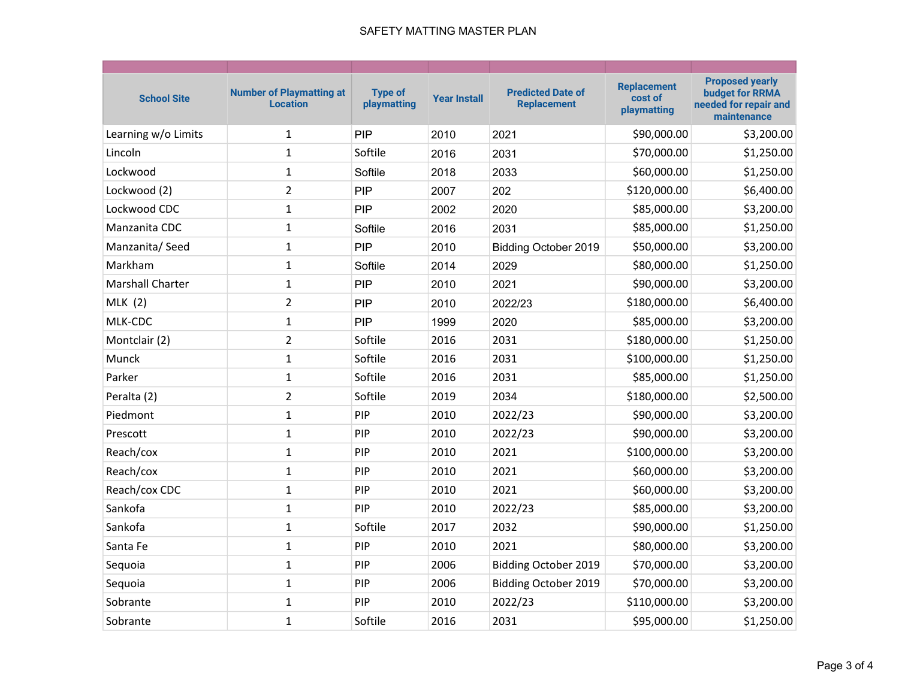| <b>School Site</b>      | <b>Number of Playmatting at</b><br><b>Location</b> | <b>Type of</b><br>playmatting | <b>Year Install</b> | <b>Predicted Date of</b><br><b>Replacement</b> | <b>Replacement</b><br>cost of<br>playmatting | <b>Proposed yearly</b><br><b>budget for RRMA</b><br>needed for repair and<br>maintenance |
|-------------------------|----------------------------------------------------|-------------------------------|---------------------|------------------------------------------------|----------------------------------------------|------------------------------------------------------------------------------------------|
| Learning w/o Limits     | 1                                                  | <b>PIP</b>                    | 2010                | 2021                                           | \$90,000.00                                  | \$3,200.00                                                                               |
| Lincoln                 | $\mathbf{1}$                                       | Softile                       | 2016                | 2031                                           | \$70,000.00                                  | \$1,250.00                                                                               |
| Lockwood                | 1                                                  | Softile                       | 2018                | 2033                                           | \$60,000.00                                  | \$1,250.00                                                                               |
| Lockwood (2)            | $\overline{2}$                                     | PIP                           | 2007                | 202                                            | \$120,000.00                                 | \$6,400.00                                                                               |
| Lockwood CDC            | $\mathbf 1$                                        | <b>PIP</b>                    | 2002                | 2020                                           | \$85,000.00                                  | \$3,200.00                                                                               |
| Manzanita CDC           | $\mathbf 1$                                        | Softile                       | 2016                | 2031                                           | \$85,000.00                                  | \$1,250.00                                                                               |
| Manzanita/Seed          | 1                                                  | <b>PIP</b>                    | 2010                | Bidding October 2019                           | \$50,000.00                                  | \$3,200.00                                                                               |
| Markham                 | 1                                                  | Softile                       | 2014                | 2029                                           | \$80,000.00                                  | \$1,250.00                                                                               |
| <b>Marshall Charter</b> | 1                                                  | <b>PIP</b>                    | 2010                | 2021                                           | \$90,000.00                                  | \$3,200.00                                                                               |
| <b>MLK</b> (2)          | $\overline{2}$                                     | PIP                           | 2010                | 2022/23                                        | \$180,000.00                                 | \$6,400.00                                                                               |
| MLK-CDC                 | $\mathbf 1$                                        | PIP                           | 1999                | 2020                                           | \$85,000.00                                  | \$3,200.00                                                                               |
| Montclair (2)           | $\overline{2}$                                     | Softile                       | 2016                | 2031                                           | \$180,000.00                                 | \$1,250.00                                                                               |
| Munck                   | $\mathbf 1$                                        | Softile                       | 2016                | 2031                                           | \$100,000.00                                 | \$1,250.00                                                                               |
| Parker                  | $\mathbf 1$                                        | Softile                       | 2016                | 2031                                           | \$85,000.00                                  | \$1,250.00                                                                               |
| Peralta (2)             | $\overline{2}$                                     | Softile                       | 2019                | 2034                                           | \$180,000.00                                 | \$2,500.00                                                                               |
| Piedmont                | $\mathbf{1}$                                       | PIP                           | 2010                | 2022/23                                        | \$90,000.00                                  | \$3,200.00                                                                               |
| Prescott                | $\mathbf 1$                                        | PIP                           | 2010                | 2022/23                                        | \$90,000.00                                  | \$3,200.00                                                                               |
| Reach/cox               | $\mathbf 1$                                        | PIP                           | 2010                | 2021                                           | \$100,000.00                                 | \$3,200.00                                                                               |
| Reach/cox               | 1                                                  | PIP                           | 2010                | 2021                                           | \$60,000.00                                  | \$3,200.00                                                                               |
| Reach/cox CDC           | $\mathbf 1$                                        | PIP                           | 2010                | 2021                                           | \$60,000.00                                  | \$3,200.00                                                                               |
| Sankofa                 | $\mathbf 1$                                        | PIP                           | 2010                | 2022/23                                        | \$85,000.00                                  | \$3,200.00                                                                               |
| Sankofa                 | $\mathbf 1$                                        | Softile                       | 2017                | 2032                                           | \$90,000.00                                  | \$1,250.00                                                                               |
| Santa Fe                | $\mathbf 1$                                        | PIP                           | 2010                | 2021                                           | \$80,000.00                                  | \$3,200.00                                                                               |
| Sequoia                 | $\mathbf 1$                                        | PIP                           | 2006                | <b>Bidding October 2019</b>                    | \$70,000.00                                  | \$3,200.00                                                                               |
| Sequoia                 | 1                                                  | PIP                           | 2006                | <b>Bidding October 2019</b>                    | \$70,000.00                                  | \$3,200.00                                                                               |
| Sobrante                | $\mathbf 1$                                        | PIP                           | 2010                | 2022/23                                        | \$110,000.00                                 | \$3,200.00                                                                               |
| Sobrante                | 1                                                  | Softile                       | 2016                | 2031                                           | \$95,000.00                                  | \$1,250.00                                                                               |